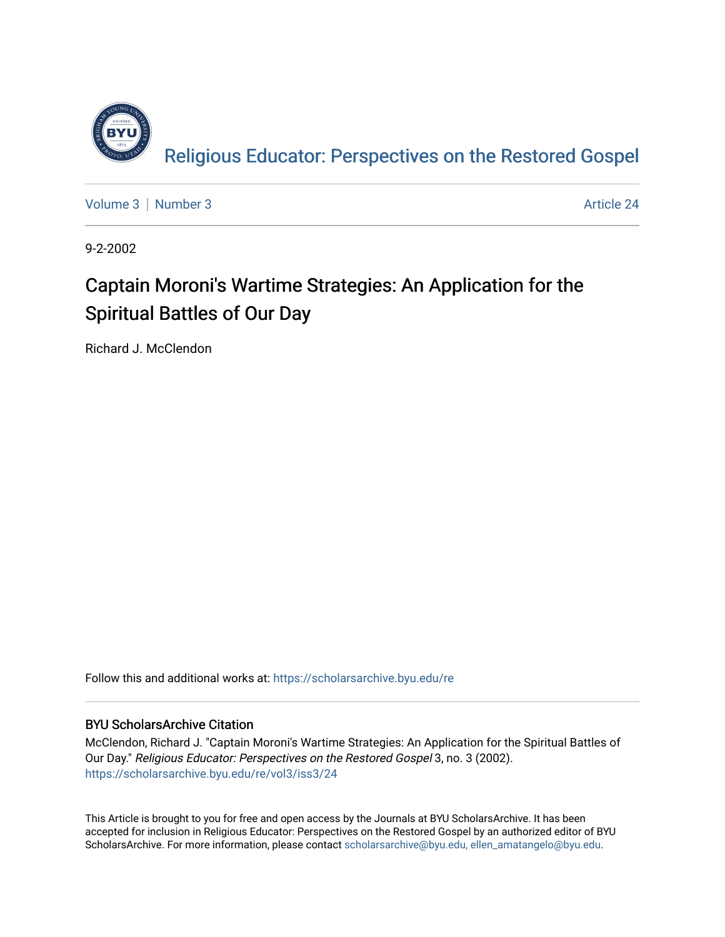

[Volume 3](https://scholarsarchive.byu.edu/re/vol3) [Number 3](https://scholarsarchive.byu.edu/re/vol3/iss3) Article 24

9-2-2002

#### Captain Moroni's Wartime Strategies: An Application for the Spiritual Battles of Our Day

Richard J. McClendon

Follow this and additional works at: [https://scholarsarchive.byu.edu/re](https://scholarsarchive.byu.edu/re?utm_source=scholarsarchive.byu.edu%2Fre%2Fvol3%2Fiss3%2F24&utm_medium=PDF&utm_campaign=PDFCoverPages)

#### BYU ScholarsArchive Citation

McClendon, Richard J. "Captain Moroni's Wartime Strategies: An Application for the Spiritual Battles of Our Day." Religious Educator: Perspectives on the Restored Gospel 3, no. 3 (2002). [https://scholarsarchive.byu.edu/re/vol3/iss3/24](https://scholarsarchive.byu.edu/re/vol3/iss3/24?utm_source=scholarsarchive.byu.edu%2Fre%2Fvol3%2Fiss3%2F24&utm_medium=PDF&utm_campaign=PDFCoverPages) 

This Article is brought to you for free and open access by the Journals at BYU ScholarsArchive. It has been accepted for inclusion in Religious Educator: Perspectives on the Restored Gospel by an authorized editor of BYU ScholarsArchive. For more information, please contact [scholarsarchive@byu.edu, ellen\\_amatangelo@byu.edu.](mailto:scholarsarchive@byu.edu,%20ellen_amatangelo@byu.edu)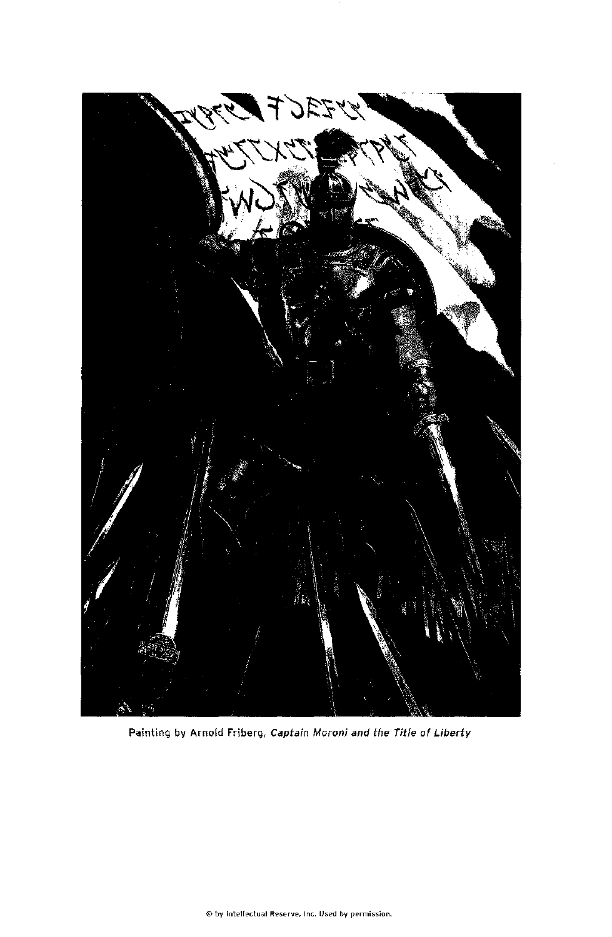

#### Painting by Arnold Friberg, Captain Moroni and the Title of Liberty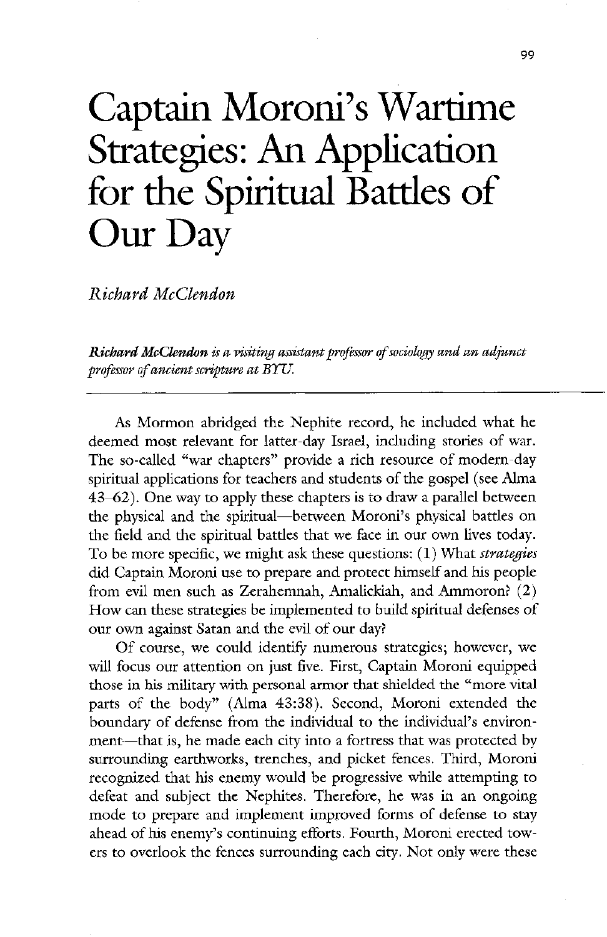# Captain Moroni's Wartime Strategies: An Application for the Spiritual Battles of Our Day

Richard McClendon

Richard McClendon is a visiting assistant professor of sociology and an adjunct professor of ancient scripture at BYU.

As Mormon abridged the Nephite record, he included what he deemed most relevant for latter-day Israel, including stories of war. The so-called "war chapters" provide a rich resource of modern-day spiritual applications for teachers and students of the gospel (see Alma  $43-62$ ). One way to apply these chapters is to draw a parallel between the physical and the spiritual—between Moroni's physical battles on the field and the spiritual battles that we face in our own lives today To be more specific, we might ask these questions:  $(1)$  What strategies did Captain Moroni use to prepare and protect himself and his people from evil men such as Zerahemnah, Amalickiah, and Ammoron?  $(2)$ How can these strategies be implemented to build spiritual defenses of our own against Satan and the evil of our day? Of course, we could identify numerous strategies; however, we will focus our attention on just five. First, Captain Moroni equipped those in his military with personal armor that shielded the "more vital parts of the body" (Alma 43:38). Second, Moroni extended the boundary of defense from the individual to the individual's environment—that is, he made each city into a fortress that was protected by surrounding earthworks, trenches, and picket fences. Third, Moroni recognized that his enemy would be progressive while attempting to defeat and subject the Nephites. Therefore, he was in an ongoing mode to prepare and implement improved forms of defense to stay ahead of his enemy's continuing efforts. Fourth, Moroni erected towers to overlook the fences surrounding each city. Not only were these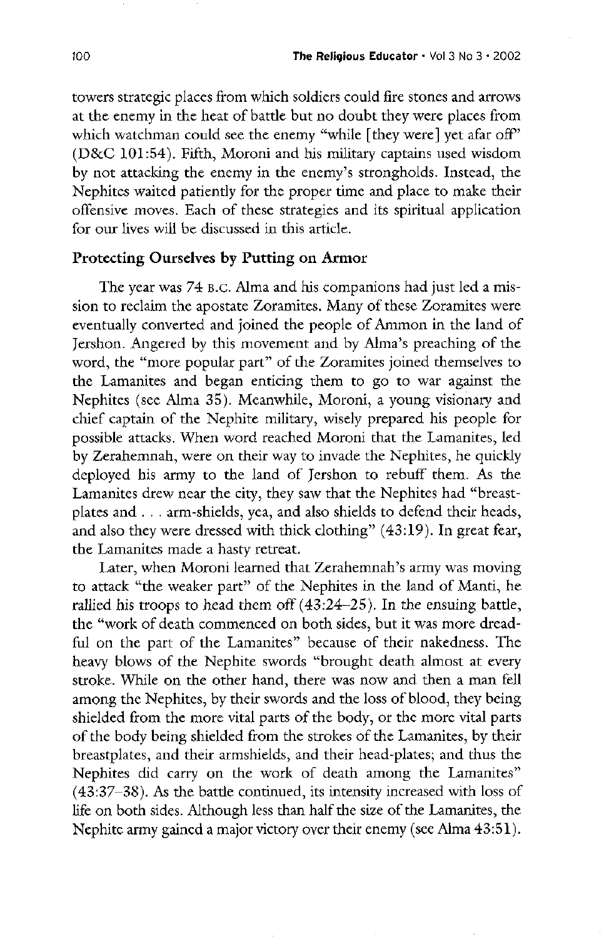towers strategic places from which soldiers could fire stones and arrows at the enemy in the heat of battle but no doubt they were places from which watchman could see the enemy "while [they were] yet afar off"  $(D&C 101:54)$ . Fifth, Moroni and his military captains used wisdom by not attacking the enemy in the enemy's strongholds. Instead, the Nephites waited patiently for the proper time and place to make their offensive moves. Each of these strategies and its spiritual application for our lives will be discussed in this article

#### Protecting Ourselves by Putting on Armor

The year was 74 B.C. Alma and his companions had just led a mission to reclaim the apostate Zoramites. Many of these Zoramites were eventually converted and joined the people of Ammon in the land of Jershon. Angered by this movement and by Alma's preaching of the word, the "more popular part" of the Zoramites joined themselves to the Lamanites and began enticing them to go to war against the Nephites (see Alma 35). Meanwhile, Moroni, a young visionary and chief captain of the Nephite military, wisely prepared his people for possible attacks. When word reached Moroni that the Lamanites, led by Zerahemnah, were on their way to invade the Nephites, he quickly deployed his army to the land of Jershon to rebuff them. As the Lamanites drew near the city, they saw that the Nephites had "breastplates and  $\ldots$  arm-shields, yea, and also shields to defend their heads, and also they were dressed with thick clothing"  $(43:19)$ . In great fear, the Lamanites made a hasty retreat. Later, when Moroni learned that Zerahemnah's army was moving to attack "the weaker part" of the Nephites in the land of Manti, he rallied his troops to head them off  $(43.24-25)$ . In the ensuing battle, the "work of death commenced on both sides, but it was more dreadful on the part of the Lamanites" because of their nakedness. The heavy blows of the Nephite swords "brought death almost at every stroke. While on the other hand, there was now and then a man fell among the Nephites, by their swords and the loss of blood, they being shielded from the more vital parts of the body, or the more vital parts of the body being shielded from the strokes of the Lamanites, by their breastplates, and their armshields, and their head-plates; and thus the Nephites did carry on the work of death among the Lamanites"  $(43:37-38)$ . As the battle continued, its intensity increased with loss of life on both sides. Although less than half the size of the Lamanites, the Nephite army gained a major victory over their enemy (see Alma  $43:51$ ).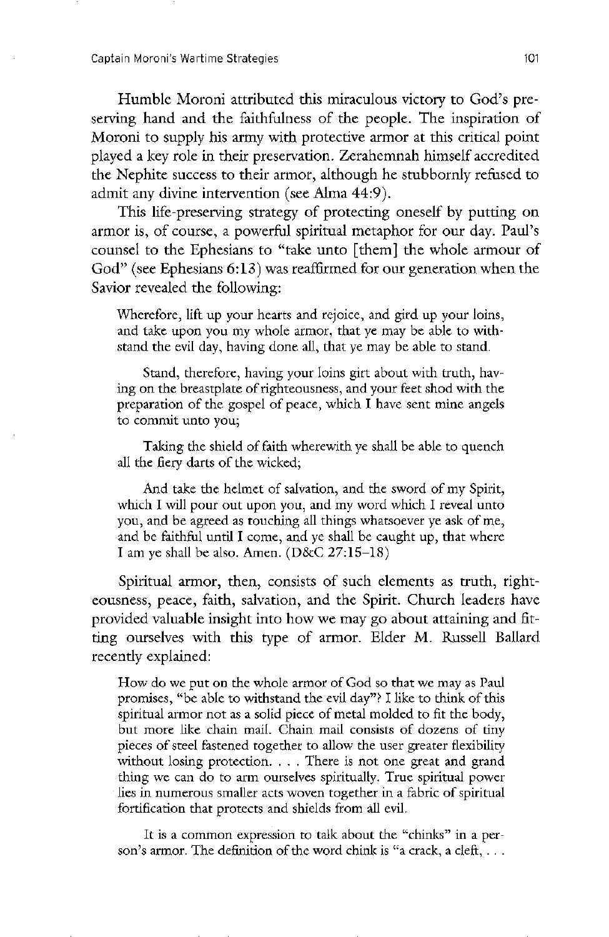Humble Moroni attributed this miraculous victory to God's preserving hand and the faithfulness of the people. The inspiration of Moroni to supply his army with protective armor at this critical point played a key role in their preservation. Zerahemnah himself accredited the Nephite success to their armor, although he stubbornly refused to admit any divine intervention (see Alma 44:9).

This life-preserving strategy of protecting oneself by putting on armor is, of course, a powerful spiritual metaphor for our day. Paul's counsel to the Ephesians to "take unto [them] the whole armour of God" (see Ephesians  $6:13$ ) was reaffirmed for our generation when the Savior revealed the following:

Wherefore, lift up your hearts and rejoice, and gird up your loins, and take upon you my whole armor, that ye may be able to withstand the evil day, having done all, that ye may be able to stand.

Stand, therefore, having your loins girt about with truth, having on the breastplate of righteousness and your feet shod with the preparation of the gospel of peace, which I have sent mine angels to commit unto you

Taking the shield of faith wherewith ye shall be able to quench all the fiery darts of the wicked

And take the helmet of salvation, and the sword of my Spirit, which I will pour out upon you, and my word which I reveal unto you, and be agreed as touching all things whatsoever ye ask of me, and be faithful until I come, and ye shall be caught up, that where I am ye shall be also. Amen.  $(D&C 27:15-18)$ 

Spiritual armor, then, consists of such elements as truth, righteousness, peace, faith, salvation, and the Spirit. Church leaders have provided valuable insight into how we may go about attaining and fitting ourselves with this type of armor. Elder M. Russell Ballard recently explained

How do we put on the whole armor of God so that we may as Paul promises, "be able to withstand the evil day"? I like to think of this spiritual armor not as <sup>a</sup> solid piece of metal molded to fit the body but more like chain mail. Chain mail consists of dozens of tiny pieces of steel fastened together to allow the user greater flexibility without losing protection.  $\ldots$ . There is not one great and grand thing we can do to arm ourselves spiritually. True spiritual power lies in numerous smaller acts woven together in a fabric of spiritual fortification that protects and shields from all evil

It is a common expression to talk about the "chinks" in a person's armor. The definition of the word chink is "a crack, a cleft,  $\dots$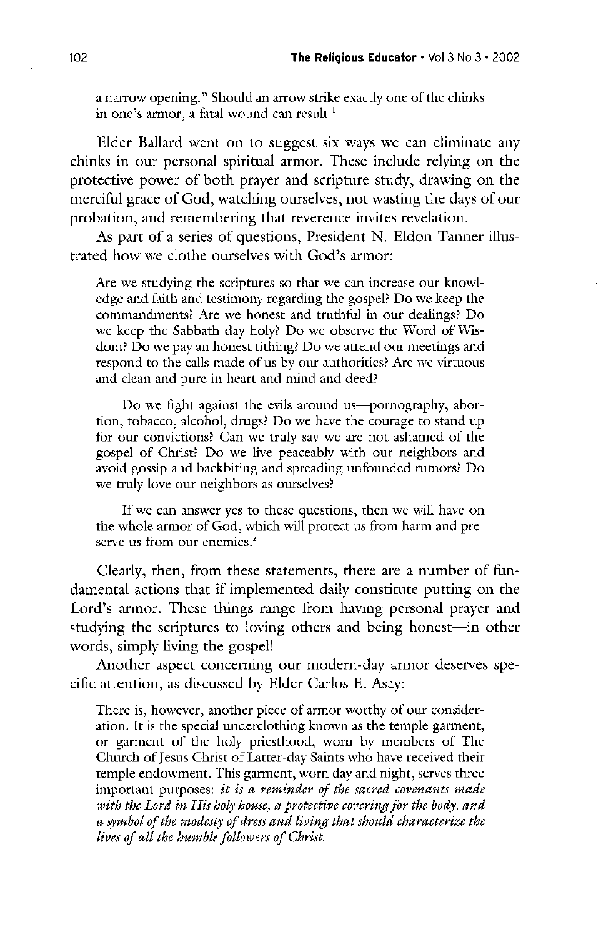a narrow opening." Should an arrow strike exactly one of the chinks in one's armor, a fatal wound can result.<sup>1</sup>

Elder Ballard went on to suggest six ways we can eliminate any chinks in our personal spiritual armor. These include relying on the protective power of both prayer and scripture study, drawing on the merciful grace of God, watching ourselves, not wasting the days of our probation, and remembering that reverence invites revelation.

As part of a series of questions, President N. Eldon Tanner illustrated how we clothe ourselves with God's armor:

Are we studying the scriptures so that we can increase our knowledge and faith and testimony regarding the gospel? Do we keep the commandments? Are we honest and truthful in our dealings? Do we keep the Sabbath day holy? Do we observe the Word of Wisdom? Do we pay an honest tithing? Do we attend our meetings and respond to the calls made of us by our authorities? Are we virtuous and clean and pure in heart and mind and deed

Do we fight against the evils around us—pornography, abortion, tobacco, alcohol, drugs? Do we have the courage to stand up for our convictions? Can we truly say we are not ashamed of the gospel of Christ? Do we live peaceably with our neighbors and avoid gossip and backbiting and spreading unfounded rumors? Do we truly love our neighbors as ourselves?

If we can answer yes to these questions, then we will have on the whole armor of God, which will protect us from harm and preserve us from our enemies.<sup>2</sup>

Clearly, then, from these statements, there are a number of fundamental actions that if implemented daily constitute putting on the Lord's armor. These things range from having personal prayer and studying the scriptures to loving others and being honest—in other words, simply living the gospel!

Another aspect concerning our modern-day armor deserves specific attention, as discussed by Elder Carlos E. Asay:

There is, however, another piece of armor worthy of our consideration. It is the special underclothing known as the temple garment, or garment of the holy priesthood, worn by members of The Church of Jesus Christ of Latter-day Saints who have received their temple endowment. This garment, worn day and night, serves three important purposes: it is a reminder of the sacred covenants made with the Lord in His holy house, a protective covering for the body, and a symbol of the modesty of dress and living that should characterize the lives of all the humble followers of Christ.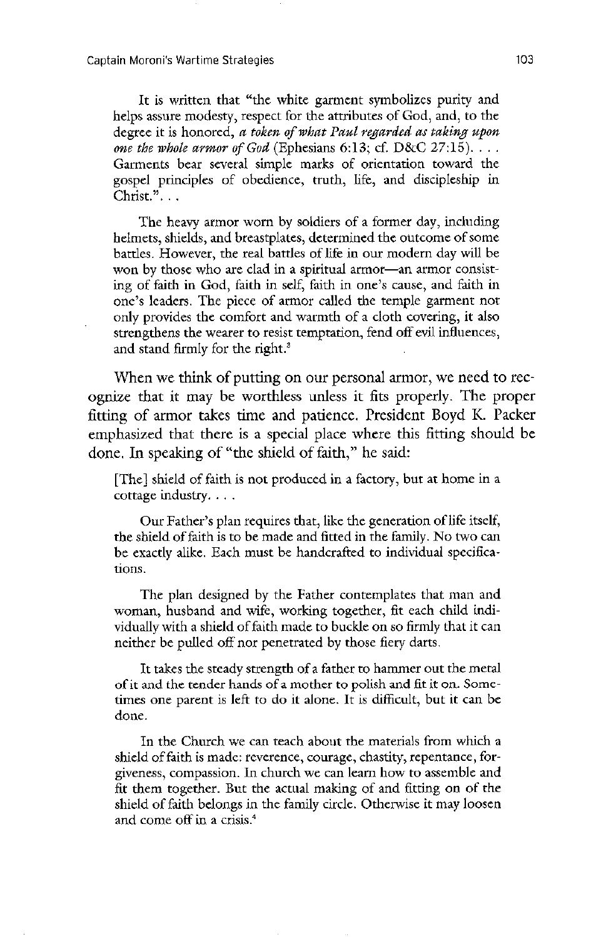It is written that "the white garment symbolizes purity and helps assure modesty, respect for the attributes of God, and, to the degree it is honored, a token of what Paul regarded as taking upon one the whole armor of God (Ephesians 6:13; cf.  $D&C$  27:15)... Garments bear several simple marks of orientation toward the gospel principles of obedience, truth, life, and discipleship in  $Christ.$ " $\ldots$ 

The heavy armor worn by soldiers of a former day, including helmets, shields, and breastplates, determined the outcome of some battles. However, the real battles of life in our modern day will be won by those who are clad in a spiritual armor-an armor consisting of faith in God, faith in self, faith in one's cause, and faith in one's leaders. The piece of armor called the temple garment not only provides the comfort and warmth of a cloth covering, it also strengthens the wearer to resist temptation, fend off evil influences, and stand firmly for the right. $3$ 

When we think of putting on our personal armor, we need to recognize that it may be worthless unless it fits properly. The proper fitting of armor takes time and patience. President Boyd K. Packer emphasized that there is a special place where this fitting should be done. In speaking of "the shield of faith," he said:

[The] shield of faith is not produced in a factory, but at home in a cottage industry

Our Father's plan requires that, like the generation of life itself, the shield of faith is to be made and fitted in the family. No two can be exactly alike. Each must be handcrafted to individual specifications

The plan designed by the Father contemplates that man and woman, husband and wife, working together, fit each child individually with a shield of faith made to buckle on so firmly that it can neither be pulled off nor penetrated by those fiery darts

It takes the steady strength of a father to hammer out the metal of it and the tender hands of a mother to polish and fit it on. Sometimes one parent is left to do it alone. It is difficult, but it can be done

In the Church we can teach about the materials from which a shield of faith is made: reverence, courage, chastity, repentance, forgiveness, compassion. In church we can learn how to assemble and fit them together. But the actual making of and fitting on of the shield of faith belongs in the family circle. Otherwise it may loosen and come off in a crisis.<sup>4</sup>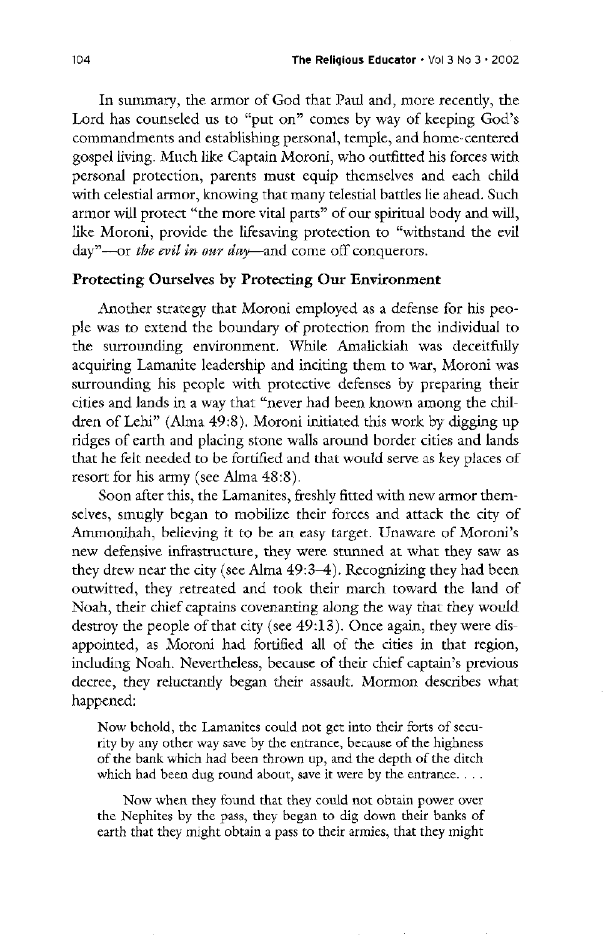In summary, the armor of God that Paul and, more recently, the Lord has counseled us to "put on" comes by way of keeping God's commandments and establishing personal, temple, and home-centered gospel living. Much like Captain Moroni, who outfitted his forces with personal protection, parents must equip themselves and each child with celestial armor, knowing that many telestial battles lie ahead. Such armor will protect "the more vital parts" of our spiritual body and will, like Moroni, provide the lifesaving protection to "withstand the evil day"—or the evil in our day—and come off conquerors.

#### Protecting Ourselves by Protecting Our Environment

Another strategy that Moroni employed as a defense for his people was to extend the boundary of protection from the individual to the surrounding environment. While Amalickiah was deceitfully acquiring Lamanite leadership and inciting them to war, Moroni was surrounding his people with protective defenses by preparing their cities and lands in a way that "never had been known among the children of Lehi" (Alma 49:8). Moroni initiated this work by digging up ridges of earth and placing stone walls around border cities and lands that he felt needed to be fortified and that would serve as key places of resort for his army (see Alma  $48:8$ ). Soon after this, the Lamanites, freshly fitted with new armor themselves, smugly began to mobilize their forces and attack the city of Ammonihah, believing it to be an easy target. Unaware of Moroni's new defensive infrastructure, they were stunned at what they saw as they drew near the city (see Alma  $49:3-4$ ). Recognizing they had been outwitted, they retreated and took their march toward the land of Noah, their chief captains covenanting along the way that they would destroy the people of that city (see  $49:13$ ). Once again, they were disappointed, as Moroni had fortified all of the cities in that region, including Noah. Nevertheless, because of their chief captain's previous decree, they reluctantly began their assault. Mormon describes what happened:

Now behold, the Lamanites could not get into their forts of security by any other way save by the entrance, because of the highness of the bank which had been thrown up, and the depth of the ditch which had been dug round about, save it were by the entrance.  $\ldots$ 

Now when they found that they could not obtain power over the Nephites by the pass, they began to dig down their banks of earth that they might obtain a pass to their armies, that they might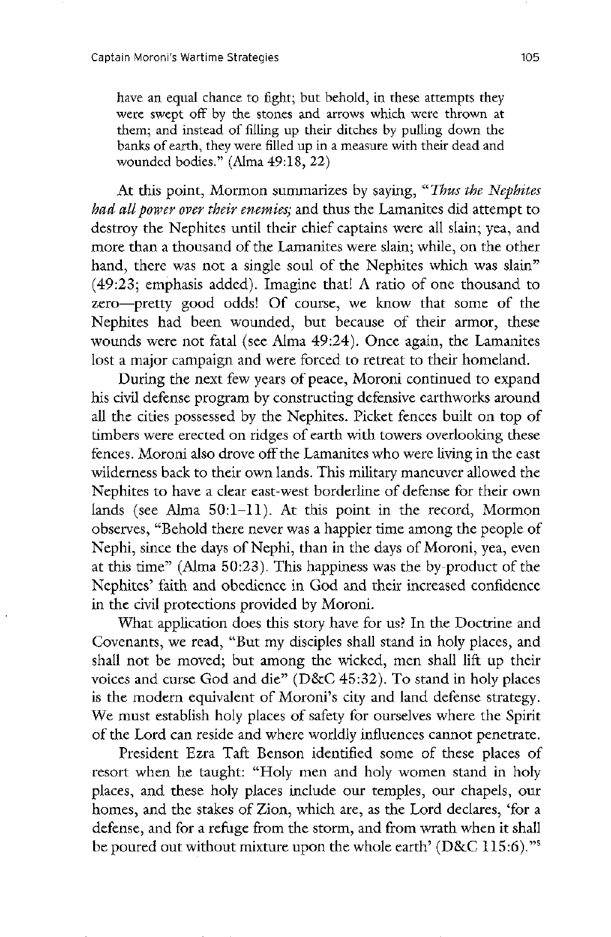have an equal chance to fight; but behold, in these attempts they were swept off by the stones and arrows which were thrown at them; and instead of filling up their ditches by pulling down the banks of earth, they were filled up in a measure with their dead and wounded bodies."  $(Alma 49:18, 22)$ 

At this point, Mormon summarizes by saying, "Thus the Nephites" had all power over their enemies; and thus the Lamanites did attempt to destroy the Nephites until their chief captains were all slain; yea, and more than a thousand of the Lamanites were slain; while, on the other hand, there was not a single soul of the Nephites which was slain"  $(49:23;$  emphasis added). Imagine that! A ratio of one thousand to zero—pretty good odds! Of course, we know that some of the Nephites had been wounded, but because of their armor, these wounds were not fatal (see Alma  $49:24$ ). Once again, the Lamanites lost a major campaign and were forced to retreat to their homeland.

During the next few years of peace, Moroni continued to expand his civil defense program by constructing defensive earthworks around all the cities possessed by the Nephites. Picket fences built on top of timbers were erected on ridges of earth with towers overlooking these fences. Moroni also drove off the Lamanites who were living in the east wilderness back to their own lands. This military maneuver allowed the Nephites to have a clear east-west borderline of defense for their own lands (see Alma  $50: 1-11$ ). At this point in the record, Mormon observes, "Behold there never was a happier time among the people of Nephi, since the days of Nephi, than in the days of Moroni, yea, even at this time" (Alma  $50:23$ ). This happiness was the by-product of the Nephites' faith and obedience in God and their increased confidence in the civil protections provided by Moroni. What application does this story have for us? In the Doctrine and Covenants, we read, "But my disciples shall stand in holy places, and shall not be moved; but among the wicked, men shall lift up their voices and curse God and die"  $(D&C 45:32)$ . To stand in holy places is the modern equivalent of Moroni's city and land defense strategy. We must establish holy places of safety for ourselves where the Spirit of the lord can reside and where worldly influences cannot penetrate President Ezra Taft Benson identified some of these places of resort when he taught: "Holy men and holy women stand in holy places, and these holy places include our temples, our chapels, our homes, and the stakes of Zion, which are, as the Lord declares, 'for a defense, and for a refuge from the storm, and from wrath when it shall be poured out without mixture upon the whole earth' (D&C 115:6 5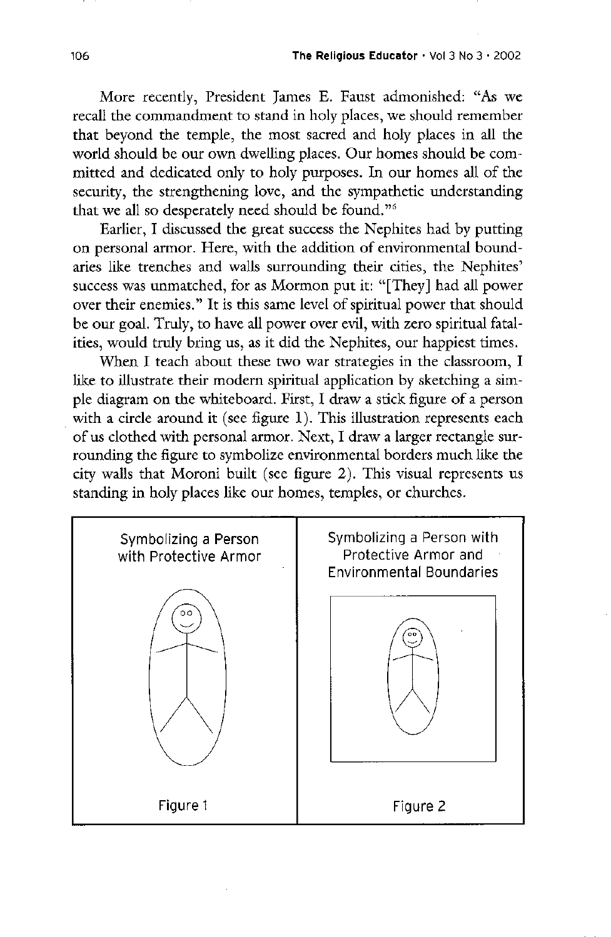More recently, President James E. Faust admonished: "As we recall the commandment to stand in holy places, we should remember that beyond the temple, the most sacred and holy places in all the world should be our own dwelling places. Our homes should be committed and dedicated only to holy purposes. In our homes all of the security, the strengthening love, and the sympathetic understanding that we all so desperately need should be found."<sup>6</sup>

Earlier, I discussed the great success the Nephites had by putting on personal armor. Here, with the addition of environmental boundaries like trenches and walls surrounding their cities, the Nephites' success was unmatched, for as Mormon put it: "[They] had all power over their enemies." It is this same level of spiritual power that should be our goal. Truly, to have all power over evil, with zero spiritual fatalities, would truly bring us, as it did the Nephites, our happiest times.

When I teach about these two war strategies in the classroom, I like to illustrate their modern spiritual application by sketching a sim ple diagram on the whiteboard. First, I draw a stick figure of a person with a circle around it (see figure  $1$ ). This illustration represents each of us clothed with personal armor. Next, I draw a larger rectangle surrounding the figure to symbolize environmental borders much like the city walls that Moroni built (see figure  $2$ ). This visual represents us standing in holy places like our homes, temples, or churches.

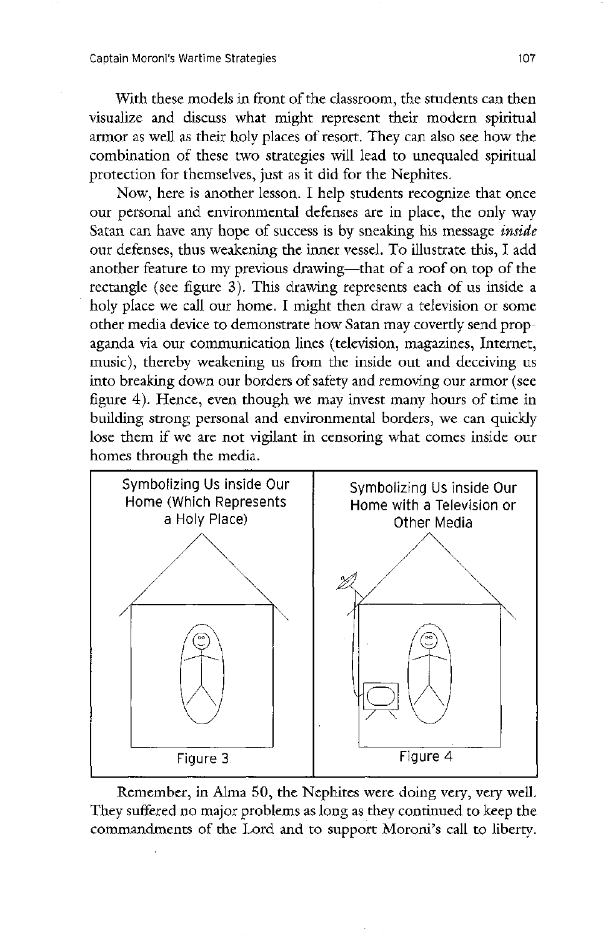With these models in front of the classroom, the students can then visualize and discuss what might represent their modern spiritual armor as well as their holy places of resort. They can also see how the combination of these two strategies will lead to unequaled spiritual protection for themselves, just as it did for the Nephites.

Now, here is another lesson. I help students recognize that once our personal and environmental defenses are in place, the only way Satan can have any hope of success is by sneaking his message *inside* our defenses, thus weakening the inner vessel. To illustrate this, I add another feature to my previous drawing—that of a roof on top of the rectangle (see figure 3). This drawing represents each of us inside a holy place we call our home. I might then draw a television or some other media device to demonstrate how satan may covertly send prop aganda via our communication lines (television, magazines, Internet, music), thereby weakening us from the inside out and deceiving us into breaking down our borders of safety and removing our armor (see figure 4). Hence, even though we may invest many hours of time in building strong personal and environmental borders, we can quickly lose them if we are not vigilant in censoring what comes inside our homes through the media.



Remember, in Alma 50, the Nephites were doing very, very well. They suffered no major problems as long as they continued to keep the commandments of the Lord and to support Moroni's call to liberty.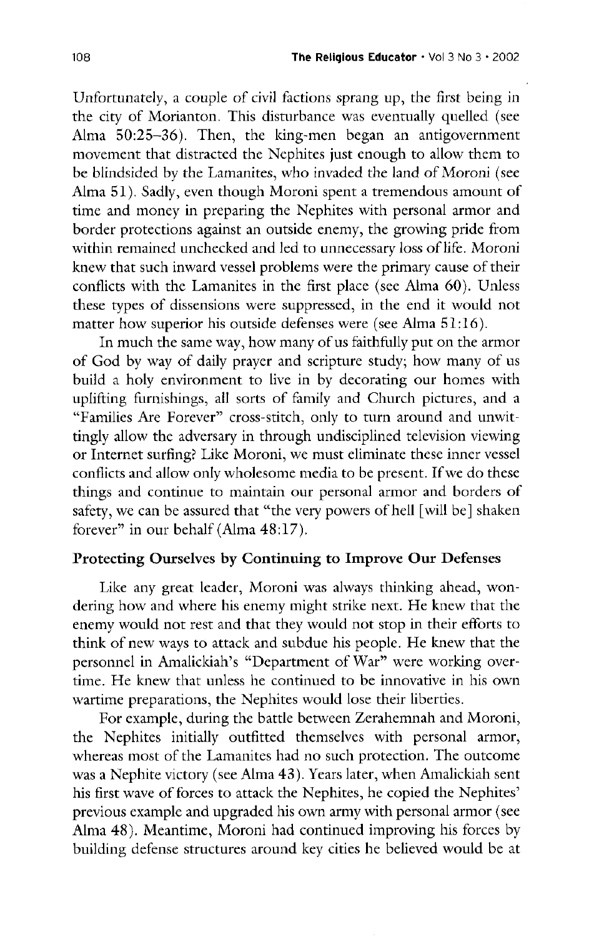Unfortunately, a couple of civil factions sprang up, the first being in the city of Morianton. This disturbance was eventually quelled (see Alma  $50:25-36$ . Then, the king-men began an antigovernment movement that distracted the Nephites just enough to allow them to be blindsided by the Lamanites, who invaded the land of Moroni (see Alma  $51$ ). Sadly, even though Moroni spent a tremendous amount of time and money in preparing the Nephites with personal armor and border protections against an outside enemy, the growing pride from within remained unchecked and led to unnecessary loss of life. Moroni knew that such inward vessel problems were the primary cause of their conflicts with the Lamanites in the first place (see Alma  $60$ ). Unless these types of dissensions were suppressed, in the end it would not matter how superior his outside defenses were (see Alma  $51:16$ ).

In much the same way, how many of us faithfully put on the armor of God by way of daily prayer and scripture study; how many of us build a holy environment to live in by decorating our homes with uplifting furnishings, all sorts of family and Church pictures, and a "Families Are Forever" cross-stitch, only to turn around and unwittingly allow the adversary in through undisciplined television viewing or Internet surfing? Like Moroni, we must eliminate these inner vessel

conflicts and allow only wholesome media to be present. If we do these things and continue to maintain our personal armor and borders of safety, we can be assured that "the very powers of hell [will be] shaken forever" in our behalf (Alma  $48:17$ ).

#### Protecting Ourselves by Continuing to Improve Our Defenses

Like any great leader, Moroni was always thinking ahead, wondering how and where his enemy might strike next. He knew that the enemy would not rest and that they would not stop in their efforts to think of new ways to attack and subdue his people. He knew that the personnel in Amalickiah's "Department of War" were working overtime. He knew that unless he continued to be innovative in his own wartime preparations, the Nephites would lose their liberties.

For example, during the battle between Zerahemnah and Moroni, the Nephites initially outfitted themselves with personal armor, whereas most of the Lamanites had no such protection. The outcome was a Nephite victory (see Alma 43). Years later, when Amalickiah sent his first wave of forces to attack the Nephites, he copied the Nephites' previous example and upgraded his own army with personal armor (see Alma 48). Meantime, Moroni had continued improving his forces by building defense structures around key cities he believed would be at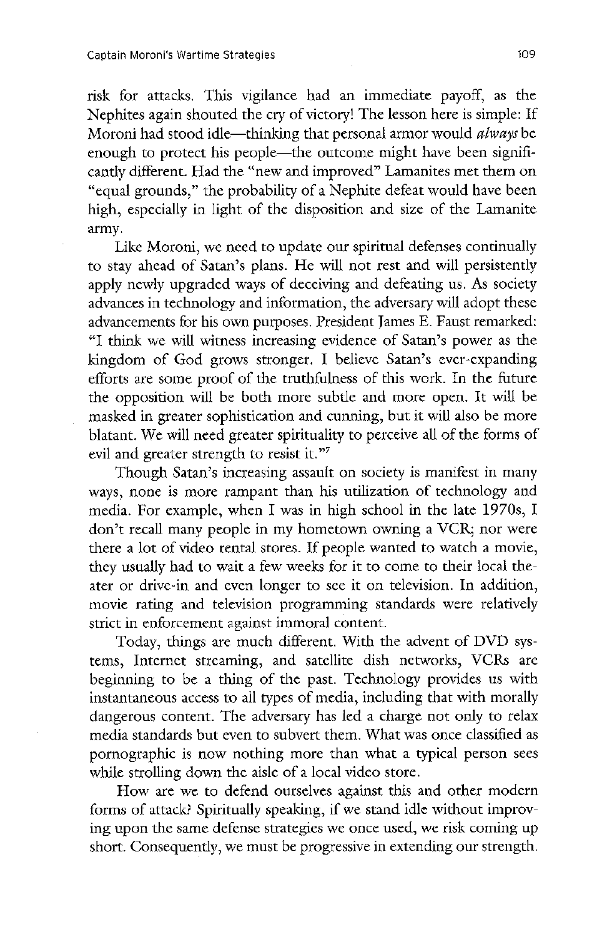risk for attacks. This vigilance had an immediate payoff, as the Nephites again shouted the cry of victory! The lesson here is simple: If Moroni had stood idle—thinking that personal armor would *always* be enough to protect his people—the outcome might have been significantly different. Had the "new and improved" Lamanites met them on "equal grounds," the probability of a Nephite defeat would have been high, especially in light of the disposition and size of the Lamanite army

Like Moroni, we need to update our spiritual defenses continually to stay ahead of Satan's plans. He will not rest and will persistently apply newly upgraded ways of deceiving and defeating us. As society advances in technology and information, the adversary will adopt these advancements for his own purposes. President James E. Faust remarked: "I think we will witness increasing evidence of Satan's power as the kingdom of God grows stronger. I believe Satan's ever-expanding efforts are some proof of the truthfulness of this work. In the future the opposition will be both more subtle and more open. It will be masked in greater sophistication and cunning, but it will also be more blatant. We will need greater spirituality to perceive all of the forms of evil and greater strength to resist it."<sup>7</sup> Though Satan's increasing assault on society is manifest in many ways, none is more rampant than his utilization of technology and media. For example, when I was in high school in the late 1970s, I don't recall many people in my hometown owning a VCR; nor were there a lot of video rental stores. If people wanted to watch a movie, they usually had to wait a few weeks for it to come to their local theater or drive-in and even longer to see it on television. In addition, movie rating and television programming standards were relatively strict in enforcement against immoral content Today, things are much different. With the advent of DVD systems, Internet streaming, and satellite dish networks, VCRs are beginning to be a thing of the past. Technology provides us with instantaneous access to all types of media, including that with morally dangerous content. The adversary has led a charge not only to relax media standards but even to subvert them. What was once classified as pornographic is now nothing more than what a typical person sees while strolling down the aisle of a local video store. How are we to defend ourselves against this and other modern forms of attack? Spiritually speaking, if we stand idle without improving upon the same defense strategies we once used, we risk coming up short. Consequently, we must be progressive in extending our strength.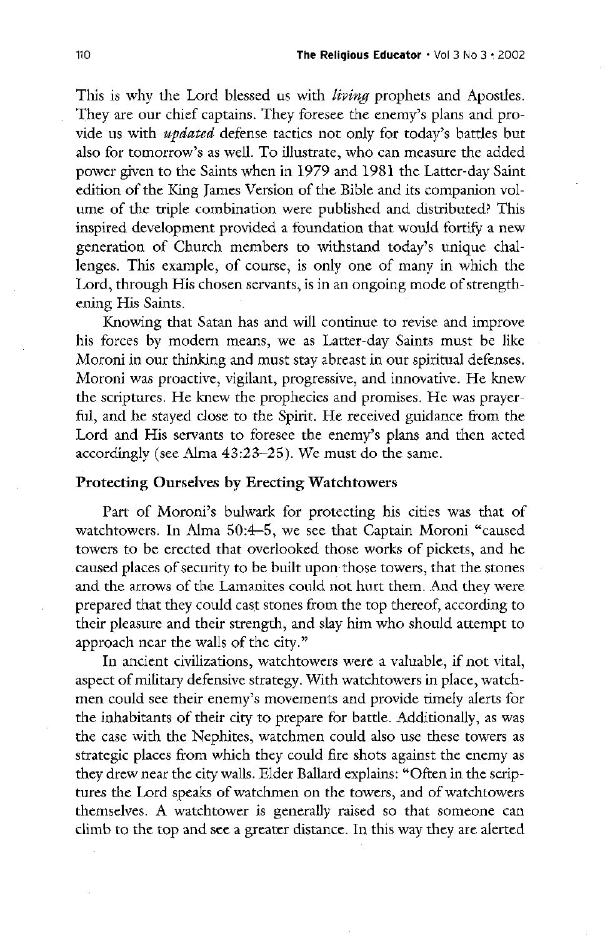This is why the Lord blessed us with *living* prophets and Apostles. They are our chief captains. They foresee the enemy's plans and provide us with *updated* defense tactics not only for today's battles but also for tomorrow's as well. To illustrate, who can measure the added power given to the Saints when in 1979 and 1981 the Latter-day Saint edition of the king james version of the bible and its companion volume of the triple combination were published and distributed? This inspired development provided a foundation that would fortify a new generation of Church members to withstand today's unique challenges. This example, of course, is only one of many in which the Lord, through His chosen servants, is in an ongoing mode of strengthening His Saints.

Knowing that Satan has and will continue to revise and improve his forces by modern means, we as Latter-day Saints must be like Moroni in our thinking and must stay abreast in our spiritual defenses. Moroni was proactive, vigilant, progressive, and innovative. He knew the scriptures. He knew the prophecies and promises. He was prayerful, and he stayed close to the Spirit. He received guidance from the Lord and His servants to foresee the enemy's plans and then acted accordingly (see Alma  $43:23-25$ ). We must do the same.

#### Protecting Ourselves by Erecting Watchtowers

Part of Moroni's bulwark for protecting his cities was that of watchtowers. In Alma 50:4-5, we see that Captain Moroni "caused towers to be erected that overlooked those works of pickets, and he caused places of security to be built upon those towers, that the stones and the arrows of the Lamanites could not hurt them. And they were prepared that they could cast stones from the top thereof, according to their pleasure and their strength, and slay him who should attempt to approach near the walls of the city."

In ancient civilizations, watchtowers were a valuable, if not vital, aspect of military defensive strategy. With watchtowers in place, watchmen could see their enemy's movements and provide timely alerts for the inhabitants of their city to prepare for battle. Additionally, as was the case with the Nephites, watchmen could also use these towers as strategic places from which they could fire shots against the enemy as they drew near the city walls. Elder Ballard explains: "Often in the scriptures the Lord speaks of watchmen on the towers, and of watchtowers themselves A watchtower is generally raised so that someone can climb to the top and see a greater distance. In this way they are alerted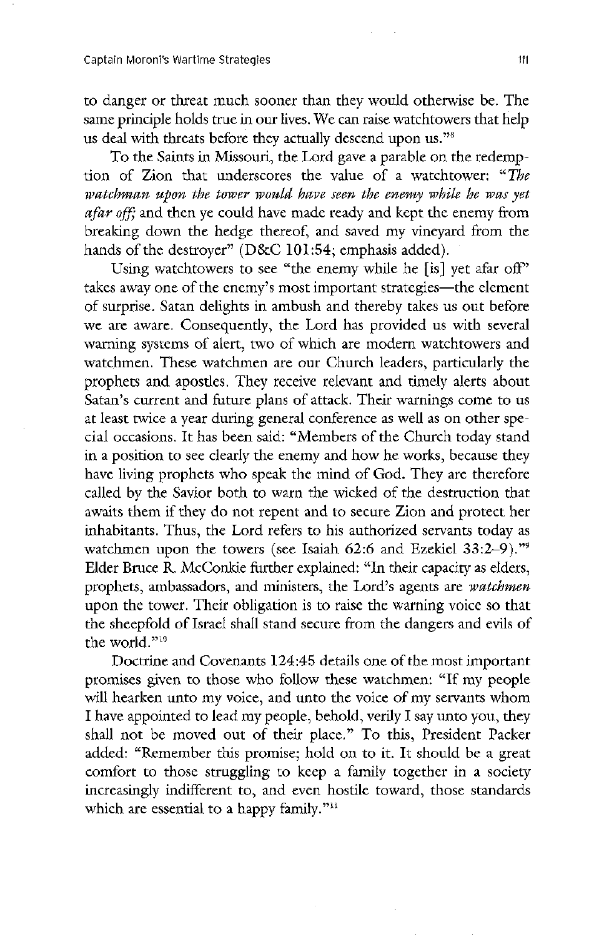to danger or threat much sooner than they would otherwise be. The same principle holds true in our lives. We can raise watchtowers that help us deal with threats before they actually descend upon us."<sup>8</sup>

To the Saints in Missouri, the Lord gave a parable on the redemption of Zion that underscores the value of a watchtower: "The watchman upon the tower would have seen the enemy while he was yet afar off; and then ye could have made ready and kept the enemy from breaking down the hedge thereof, and saved my vineyard from the hands of the destroyer" ( $D&C$  101:54; emphasis added).

Using watchtowers to see "the enemy while he [is] yet afar off" takes away one of the enemy's most important strategies—the element of surprise. Satan delights in ambush and thereby takes us out before we are aware. Consequently, the Lord has provided us with several warning systems of alert, two of which are modern watchtowers and watchmen. These watchmen are our Church leaders, particularly the prophets and apostles. They receive relevant and timely alerts about Satan's current and future plans of attack. Their warnings come to us at least twice a year during general conference as well as on other special occasions. It has been said: "Members of the Church today stand in a position to see clearly the enemy and how he works, because they have living prophets who speak the mind of God. They are therefore called by the savior both to warn the wicked of the destruction that awaits them if they do not repent and to secure zion and protect her inhabitants. Thus, the Lord refers to his authorized servants today as watchmen upon the towers (see Isaiah 62:6 and Ezekiel  $33:2-9$ )."<sup>9</sup> Elder Bruce R. McConkie further explained: "In their capacity as elders, prophets, ambassadors, and ministers, the Lord's agents are *watchmen* upon the tower. Their obligation is to raise the warning voice so that the sheepfold of Israel shall stand secure from the dangers and evils of the world."<sup>10</sup> Doctrine and Covenants 124:45 details one of the most important promises given to those who follow these watchmen: "If my people will hearken unto my voice, and unto the voice of my servants whom I have appointed to lead my people, behold, verily I say unto you, they shall not be moved out of their place." To this, President Packer added: "Remember this promise; hold on to it. It should be a great comfort to those struggling to keep a family together in a society increasingly indifferent to, and even hostile toward, those standards which are essential to a happy family."<sup>11</sup>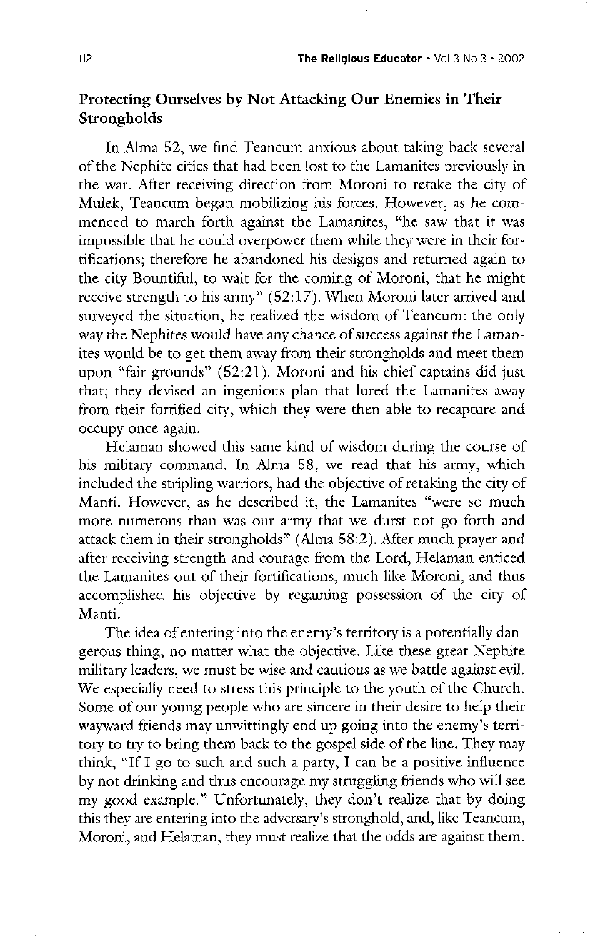## Protecting Ourselves by Not Attacking Our Enemies in Their strongholds

In Alma 52, we find Teancum anxious about taking back several of the Nephite cities that had been lost to the Lamanites previously in the war. After receiving direction from Moroni to retake the city of Mulek, Teancum began mobilizing his forces. However, as he commenced to march forth against the Lamanites, "he saw that it was impossible that he could overpower them while they were in their fortifications; therefore he abandoned his designs and returned again to the city Bountiful, to wait for the coming of Moroni, that he might receive strength to his army"  $(52:17)$ . When Moroni later arrived and surveyed the situation, he realized the wisdom of Teancum: the only way the Nephites would have any chance of success against the Lamanites would be to get them away from their strongholds and meet them upon "fair grounds"  $(52:21)$ . Moroni and his chief captains did just that; they devised an ingenious plan that lured the Lamanites away from their fortified city, which they were then able to recapture and occupy once again

Helaman showed this same kind of wisdom during the course of his military command. In Alma 58, we read that his army, which included the stripling warriors, had the objective of retaking the city of Manti. However, as he described it, the Lamanites "were so much more numerous than was our army that we durst not go forth and attack them in their strongholds" (Alma  $58:2$ ). After much prayer and after receiving strength and courage from the Lord, Helaman enticed the Lamanites out of their fortifications, much like Moroni, and thus accomplished his objective by regaining possession of the city of Manti. The idea of entering into the enemy's territory is a potentially dangerous thing, no matter what the objective. Like these great Nephite military leaders, we must be wise and cautious as we battle against evil. We especially need to stress this principle to the youth of the Church. some of our young people who are sincere in their desire to help their wayward friends may unwittingly end up going into the enemy's territory to try to bring them back to the gospel side of the line. They may think, "If I go to such and such a party, I can be a positive influence by not drinking and thus encourage my struggling friends who will see my good example." Unfortunately, they don't realize that by doing this they are entering into the adversary's stronghold, and, like Teancum, Moroni, and Helaman, they must realize that the odds are against them.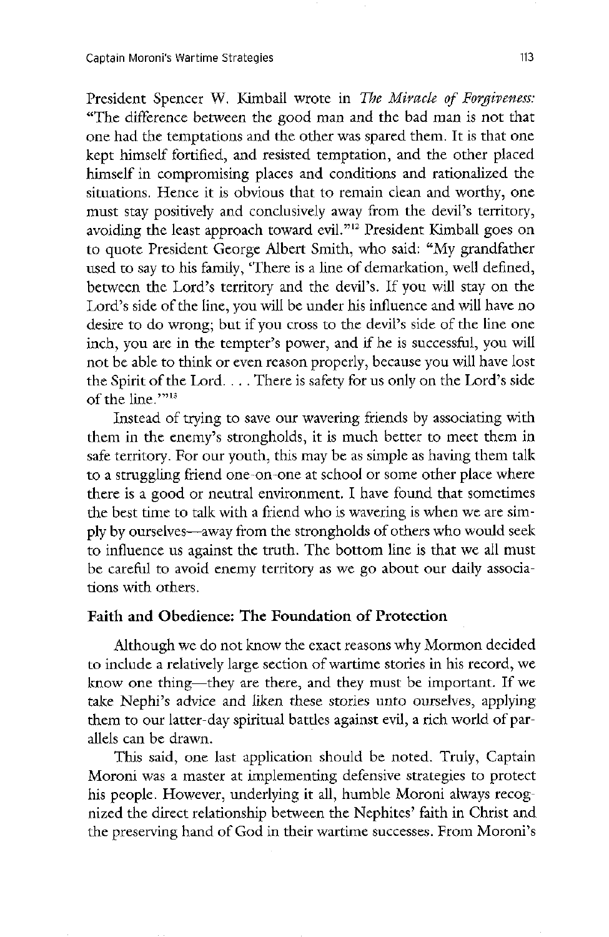President Spencer W. Kimball wrote in The Miracle of Forgiveness: The difference between the good man and the bad man is not that one had the temptations and the other was spared them. It is that one kept himself fortified, and resisted temptation, and the other placed himself in compromising places and conditions and rationalized the situations. Hence it is obvious that to remain clean and worthy, one must stay positively and conclusively away from the devil's territory, avoiding the least approach toward evil."<sup>12</sup> President Kimball goes on to quote President George Albert Smith, who said: "My grandfather used to say to his family, 'There is a line of demarkation, well defined, between the Lord's territory and the devil's. If you will stay on the Lord's side of the line, you will be under his influence and will have no desire to do wrong; but if you cross to the devil's side of the line one inch, you are in the tempter's power, and if he is successful, you will not be able to think or even reason properly, because you will have lost the Spirit of the Lord.  $\dots$  There is safety for us only on the Lord's side of the line.""13

Instead of trying to save our wavering friends by associating with them in the enemy's strongholds, it is much better to meet them in safe territory. For our youth, this may be as simple as having them talk

to a struggling friend one-on-one at school or some other place where there is a good or neutral environment. I have found that sometimes the best time to talk with a friend who is wavering is when we are simply by ourselves—away from the strongholds of others who would seek to influence us against the truth. The bottom line is that we all must be careful to avoid enemy territory as we go about our daily associations with others.

### Faith and Obedience: The Foundation of Protection

Although we do not know the exact reasons why Mormon decided to include a relatively large section of wartime stories in his record, we know one thing—they are there, and they must be important. If we take Nephi's advice and liken these stories unto ourselves, applying them to our latter-day spiritual battles against evil, a rich world of parallels can be drawn

This said, one last application should be noted. Truly, Captain Moroni was a master at implementing defensive strategies to protect his people. However, underlying it all, humble Moroni always recognized the direct relationship between the Nephites' faith in Christ and the preserving hand of God in their wartime successes. From Moroni's